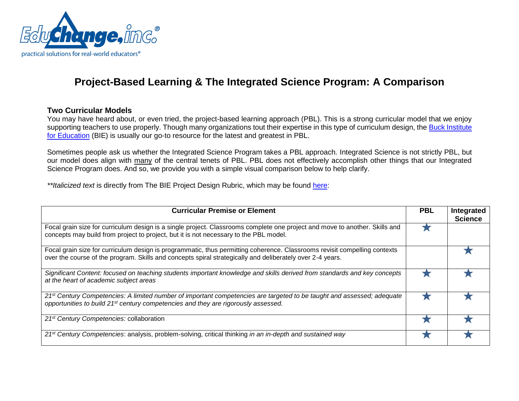

## **Project-Based Learning & The Integrated Science Program: A Comparison**

## **Two Curricular Models**

You may have heard about, or even tried, the project-based learning approach (PBL). This is a strong curricular model that we enjoy supporting teachers to use properly. Though many organizations tout their expertise in this type of curriculum design, the Buck Institute [for Education](http://www.bie.org/) (BIE) is usually our go-to resource for the latest and greatest in PBL.

Sometimes people ask us whether the Integrated Science Program takes a PBL approach. Integrated Science is not strictly PBL, but our model does align with many of the central tenets of PBL. PBL does not effectively accomplish other things that our Integrated Science Program does. And so, we provide you with a simple visual comparison below to help clarify.

*\*\*Italicized text* is directly from The BIE Project Design Rubric, which may be found [here:](http://bie.org/object/document/project_design_rubric)

| <b>Curricular Premise or Element</b>                                                                                                                                                                                                   | <b>PBL</b> | Integrated<br><b>Science</b> |
|----------------------------------------------------------------------------------------------------------------------------------------------------------------------------------------------------------------------------------------|------------|------------------------------|
| Focal grain size for curriculum design is a single project. Classrooms complete one project and move to another. Skills and<br>concepts may build from project to project, but it is not necessary to the PBL model.                   |            |                              |
| Focal grain size for curriculum design is programmatic, thus permitting coherence. Classrooms revisit compelling contexts<br>over the course of the program. Skills and concepts spiral strategically and deliberately over 2-4 years. |            |                              |
| Significant Content: focused on teaching students important knowledge and skills derived from standards and key concepts<br>at the heart of academic subject areas                                                                     |            |                              |
| 21 <sup>st</sup> Century Competencies: A limited number of important competencies are targeted to be taught and assessed; adequate<br>opportunities to build 21 <sup>st</sup> century competencies and they are rigorously assessed.   |            |                              |
| 21 <sup>st</sup> Century Competencies: collaboration                                                                                                                                                                                   |            |                              |
| 21 <sup>st</sup> Century Competencies: analysis, problem-solving, critical thinking in an in-depth and sustained way                                                                                                                   |            |                              |